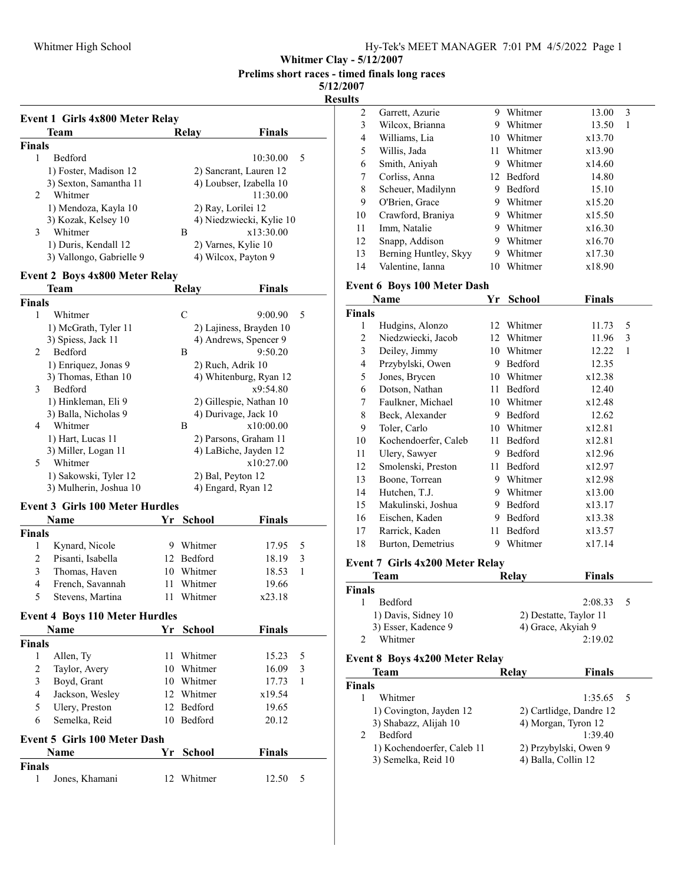Whitmer Clay - 5/12/2007

Prelims short races - timed finals long races

5/12/2007 Results

|                | <b>Event 1 Girls 4x800 Meter Relay</b>      |    |                          |                                                |
|----------------|---------------------------------------------|----|--------------------------|------------------------------------------------|
|                | Team                                        |    | Relay                    | <b>Finals</b>                                  |
| <b>Finals</b>  |                                             |    |                          |                                                |
| 1              | Bedford                                     |    |                          | 5<br>10:30.00                                  |
|                | 1) Foster, Madison 12                       |    |                          | 2) Sancrant, Lauren 12                         |
|                | 3) Sexton, Samantha 11                      |    |                          | 4) Loubser, Izabella 10                        |
| 2              | Whitmer                                     |    |                          | 11:30.00                                       |
|                | 1) Mendoza, Kayla 10                        |    |                          | 2) Ray, Lorilei 12                             |
|                | 3) Kozak, Kelsey 10                         |    |                          | 4) Niedzwiecki, Kylie 10                       |
| 3              | Whitmer                                     |    | B                        | x13:30.00                                      |
|                | 1) Duris, Kendall 12                        |    |                          | 2) Varnes, Kylie 10                            |
|                | 3) Vallongo, Gabrielle 9                    |    |                          | 4) Wilcox, Payton 9                            |
|                | <b>Event 2 Boys 4x800 Meter Relay</b>       |    |                          |                                                |
|                | Team                                        |    | <b>Relay</b>             | Finals                                         |
| <b>Finals</b>  |                                             |    |                          |                                                |
| 1              | Whitmer                                     |    | $\mathcal{C}$            | 5<br>9:00.90                                   |
|                | 1) McGrath, Tyler 11                        |    |                          | 2) Lajiness, Brayden 10                        |
| 2              | 3) Spiess, Jack 11<br>Bedford               |    |                          | 4) Andrews, Spencer 9<br>9:50.20               |
|                |                                             |    | В                        |                                                |
|                | 1) Enriquez, Jonas 9                        |    |                          | 2) Ruch, Adrik 10                              |
| 3              | 3) Thomas, Ethan 10<br><b>Bedford</b>       |    |                          | 4) Whitenburg, Ryan 12<br>x9:54.80             |
|                |                                             |    |                          |                                                |
|                | 1) Hinkleman, Eli 9<br>3) Balla, Nicholas 9 |    |                          | 2) Gillespie, Nathan 10                        |
| 4              | Whitmer                                     |    | B                        | 4) Durivage, Jack 10<br>x10:00.00              |
|                |                                             |    |                          |                                                |
|                | 1) Hart, Lucas 11<br>3) Miller, Logan 11    |    |                          | 2) Parsons, Graham 11<br>4) LaBiche, Jayden 12 |
| 5              | Whitmer                                     |    |                          | x10:27.00                                      |
|                | 1) Sakowski, Tyler 12                       |    | 2) Bal, Peyton 12        |                                                |
|                | 3) Mulherin, Joshua 10                      |    |                          | 4) Engard, Ryan 12                             |
|                |                                             |    |                          |                                                |
|                | <b>Event 3 Girls 100 Meter Hurdles</b>      |    |                          |                                                |
| <b>Finals</b>  | Name                                        | Yr | School                   | <b>Finals</b>                                  |
| 1              | Kynard, Nicole                              |    | 9 Whitmer                | 17.95<br>5                                     |
| 2              | Pisanti, Isabella                           |    | 12 Bedford               | 18.19<br>3                                     |
| 3              |                                             |    |                          | 1                                              |
| 4              | Thomas, Haven                               |    | 10 Whitmer<br>11 Whitmer | 18.53                                          |
| 5              | French, Savannah                            |    |                          | 19.66<br>x23.18                                |
|                | Stevens, Martina                            | 11 | Whitmer                  |                                                |
|                | <b>Event 4 Boys 110 Meter Hurdles</b>       |    |                          |                                                |
|                | Name                                        | Yr | School                   | <b>Finals</b>                                  |
| <b>Finals</b>  |                                             |    |                          |                                                |
| 1              | Allen, Ty                                   | 11 | Whitmer                  | 15.23<br>5                                     |
| $\mathfrak{2}$ | Taylor, Avery                               |    | 10 Whitmer               | 3<br>16.09                                     |
| 3              | Boyd, Grant                                 |    | 10 Whitmer               | 17.73<br>1                                     |
| 4              | Jackson, Wesley                             |    | 12 Whitmer               | x19.54                                         |
|                | Ulery, Preston                              |    | 12 Bedford               | 19.65                                          |
| 5              | Semelka, Reid                               |    | 10 Bedford               | 20.12                                          |

| <b>Name</b>   |                | Yr School |            |       | <b>Finals</b> |  |  |
|---------------|----------------|-----------|------------|-------|---------------|--|--|
| <b>Finals</b> |                |           |            |       |               |  |  |
|               | Jones, Khamani |           | 12 Whitmer | 12.50 | $\sim$        |  |  |

| $\overline{c}$                            | Garrett, Azurie                               | 9  | Whitmer      | 13.00         | 3            |  |  |  |
|-------------------------------------------|-----------------------------------------------|----|--------------|---------------|--------------|--|--|--|
| $\overline{\mathbf{3}}$                   | Wilcox, Brianna                               |    | 9 Whitmer    | 13.50         | $\mathbf{1}$ |  |  |  |
| $\overline{\mathbf{4}}$                   | Williams, Lia                                 |    | 10 Whitmer   | x13.70        |              |  |  |  |
| 5                                         | Willis, Jada                                  | 11 | Whitmer      | x13.90        |              |  |  |  |
| 6                                         | Smith, Aniyah                                 |    | 9 Whitmer    | x14.60        |              |  |  |  |
| 7                                         | Corliss, Anna                                 |    | 12 Bedford   | 14.80         |              |  |  |  |
| 8                                         | Scheuer, Madilynn                             |    | 9 Bedford    | 15.10         |              |  |  |  |
| 9                                         | O'Brien, Grace                                |    | 9 Whitmer    | x15.20        |              |  |  |  |
| 10                                        | Crawford, Braniya                             |    | 9 Whitmer    | x15.50        |              |  |  |  |
| 11                                        | Imm, Natalie                                  |    | 9 Whitmer    | x16.30        |              |  |  |  |
| 12                                        | Snapp, Addison                                |    | 9 Whitmer    | x16.70        |              |  |  |  |
| 13                                        | Berning Huntley, Skyy                         |    | 9 Whitmer    | x17.30        |              |  |  |  |
| 14                                        | Valentine, Ianna                              |    | 10 Whitmer   | x18.90        |              |  |  |  |
|                                           | Event 6 Boys 100 Meter Dash                   |    |              |               |              |  |  |  |
|                                           | Name                                          |    | Yr School    | <b>Finals</b> |              |  |  |  |
| <b>Finals</b>                             |                                               |    |              |               |              |  |  |  |
| 1                                         | Hudgins, Alonzo                               |    | 12 Whitmer   | 11.73         | 5            |  |  |  |
| $\overline{c}$                            | Niedzwiecki, Jacob                            |    | 12 Whitmer   | 11.96         | 3            |  |  |  |
| 3                                         | Deiley, Jimmy                                 |    | 10 Whitmer   | 12.22         | 1            |  |  |  |
| 4                                         | Przybylski, Owen                              |    | 9 Bedford    | 12.35         |              |  |  |  |
| 5                                         | Jones, Brycen                                 |    | 10 Whitmer   | x12.38        |              |  |  |  |
| 6                                         | Dotson, Nathan                                |    | 11 Bedford   | 12.40         |              |  |  |  |
| 7                                         | Faulkner, Michael                             |    | 10 Whitmer   | x12.48        |              |  |  |  |
| $\,$ $\,$                                 | Beck, Alexander                               |    | 9 Bedford    | 12.62         |              |  |  |  |
| 9                                         | Toler, Carlo                                  |    | 10 Whitmer   | x12.81        |              |  |  |  |
| 10                                        | Kochendoerfer, Caleb                          |    | 11 Bedford   | x12.81        |              |  |  |  |
| 11                                        | Ulery, Sawyer                                 |    | 9 Bedford    | x12.96        |              |  |  |  |
| 12                                        | Smolenski, Preston                            |    | 11 Bedford   | x12.97        |              |  |  |  |
| 13                                        | Boone, Torrean                                |    | 9 Whitmer    | x12.98        |              |  |  |  |
| 14                                        | Hutchen, T.J.                                 |    | 9 Whitmer    | x13.00        |              |  |  |  |
| 15                                        | Makulinski, Joshua                            |    | 9 Bedford    | x13.17        |              |  |  |  |
| 16                                        | Eischen, Kaden                                |    | 9 Bedford    | x13.38        |              |  |  |  |
| 17                                        | Rarrick, Kaden                                | 11 | Bedford      | x13.57        |              |  |  |  |
| 18                                        | Burton, Demetrius                             |    | 9 Whitmer    | x17.14        |              |  |  |  |
|                                           | Event 7 Girls 4x200 Meter Relay               |    |              |               |              |  |  |  |
|                                           | Team                                          |    | <b>Relay</b> | <b>Finals</b> |              |  |  |  |
| <b>Finals</b>                             |                                               |    |              |               |              |  |  |  |
| 1                                         | Bedford                                       |    |              | 2:08.33       | 5            |  |  |  |
|                                           | 1) Davis, Sidney 10<br>2) Destatte, Taylor 11 |    |              |               |              |  |  |  |
| 3) Esser, Kadence 9<br>4) Grace, Akyiah 9 |                                               |    |              |               |              |  |  |  |
| 2                                         | Whitmer                                       |    |              | 2:19.02       |              |  |  |  |
|                                           | <b>Event 8 Boys 4x200 Meter Relay</b>         |    |              |               |              |  |  |  |

| Team                       | Relay | <b>Finals</b>           |  |
|----------------------------|-------|-------------------------|--|
| <b>Finals</b>              |       |                         |  |
| Whitmer                    |       | $1:35.65$ 5             |  |
| 1) Covington, Jayden 12    |       | 2) Cartlidge, Dandre 12 |  |
| 3) Shabazz, Alijah 10      |       | 4) Morgan, Tyron 12     |  |
| <b>Bedford</b>             |       | 1:39.40                 |  |
| 1) Kochendoerfer, Caleb 11 |       | 2) Przybylski, Owen 9   |  |
| 3) Semelka, Reid 10        |       | 4) Balla, Collin 12     |  |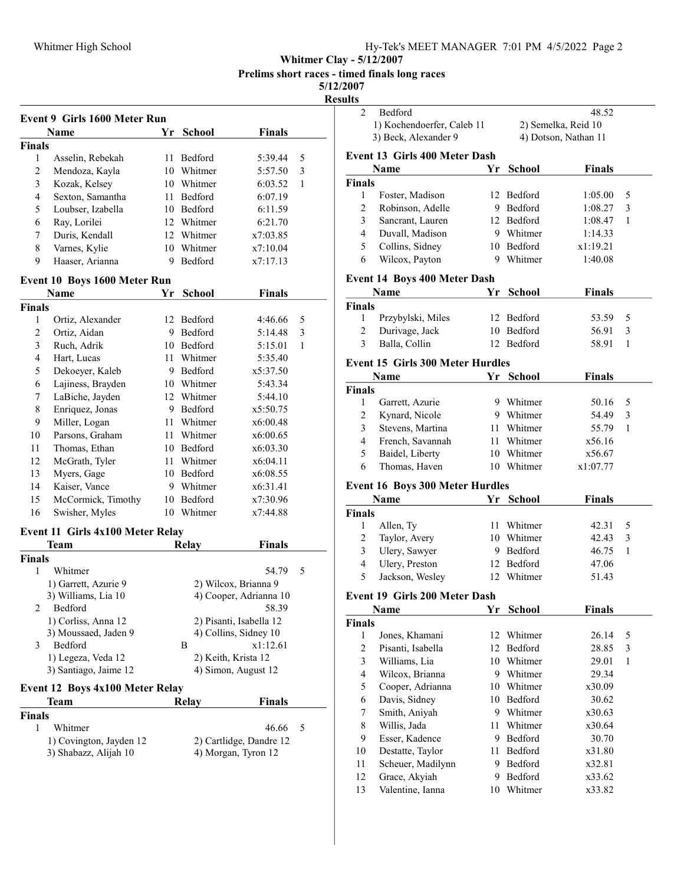Whitmer Clay - 5/12/2007

Prelims short races - timed finals long races

5/12/2007

|                | Event 9 Girls 1600 Meter Run                     |      |                         |                                                |   |
|----------------|--------------------------------------------------|------|-------------------------|------------------------------------------------|---|
|                | Name                                             |      | Yr School               | <b>Finals</b>                                  |   |
| <b>Finals</b>  |                                                  |      |                         |                                                |   |
| 1              | Asselin, Rebekah                                 | 11   | Bedford                 | 5:39.44                                        | 5 |
| 2              | Mendoza, Kayla                                   |      | 10 Whitmer              | 5:57.50                                        | 3 |
| 3              | Kozak, Kelsey                                    |      | 10 Whitmer              | 6:03.52                                        | 1 |
| $\overline{4}$ | Sexton, Samantha                                 | 11-  | Bedford                 | 6:07.19                                        |   |
| 5              | Loubser, Izabella                                |      | 10 Bedford              | 6:11.59                                        |   |
| 6              | Ray, Lorilei                                     |      | 12 Whitmer              | 6:21.70                                        |   |
| 7              | Duris, Kendall                                   |      | 12 Whitmer              | x7:03.85                                       |   |
| 8              | Varnes, Kylie                                    |      | 10 Whitmer              | x7:10.04                                       |   |
| 9              | Haaser, Arianna                                  | 9    | <b>Bedford</b>          | x7:17.13                                       |   |
|                | Event 10 Boys 1600 Meter Run                     |      |                         |                                                |   |
|                | Name                                             | Yr   | <b>School</b>           | <b>Finals</b>                                  |   |
| <b>Finals</b>  |                                                  |      |                         |                                                |   |
| 1              | Ortiz, Alexander                                 |      | 12 Bedford              | 4:46.66                                        | 5 |
| 2              | Ortiz, Aidan                                     | 9.   | Bedford                 | 5:14.48                                        | 3 |
| 3              | Ruch, Adrik                                      |      | 10 Bedford              | 5:15.01                                        | 1 |
| 4              | Hart, Lucas                                      | 11   | Whitmer                 | 5:35.40                                        |   |
| 5              | Dekoeyer, Kaleb                                  |      | 9 Bedford               | x5:37.50                                       |   |
| 6              | Lajiness, Brayden                                |      | 10 Whitmer              | 5:43.34                                        |   |
| 7              | LaBiche, Jayden                                  |      | 12 Whitmer              | 5:44.10                                        |   |
| 8              | Enriquez, Jonas                                  |      | 9 Bedford               | x5:50.75                                       |   |
| 9              | Miller, Logan                                    |      | 11 Whitmer              | x6:00.48                                       |   |
| 10             | Parsons, Graham                                  | 11 - | Whitmer                 | x6:00.65                                       |   |
| 11             | Thomas, Ethan                                    |      | 10 Bedford              | x6:03.30                                       |   |
| 12             | McGrath, Tyler                                   | 11 - | Whitmer                 | x6:04.11                                       |   |
| 13             | Myers, Gage                                      |      | 10 Bedford              | x6:08.55                                       |   |
| 14             | Kaiser, Vance                                    |      | 9 Whitmer               | x6:31.41                                       |   |
| 15             | McCormick, Timothy                               | 10   | Bedford                 | x7:30.96                                       |   |
| 16             | Swisher, Myles                                   |      | 10 Whitmer              | x7:44.88                                       |   |
|                | Event 11 Girls 4x100 Meter Relay                 |      |                         |                                                |   |
|                | Team                                             |      | Relay                   | <b>Finals</b>                                  |   |
| <b>Finals</b>  |                                                  |      |                         |                                                |   |
| 1              | Whitmer                                          |      |                         | 54.79                                          | 5 |
|                | 1) Garrett, Azurie 9                             |      |                         | 2) Wilcox, Brianna 9                           |   |
|                | 3) Williams, Lia 10                              |      |                         | 4) Cooper, Adrianna 10                         |   |
| 2              | Bedford                                          |      |                         | 58.39                                          |   |
|                | 1) Corliss, Anna 12                              |      | 2) Pisanti, Isabella 12 |                                                |   |
|                | 3) Moussaed, Jaden 9                             |      | 4) Collins, Sidney 10   |                                                |   |
| 3              | Bedford                                          |      | B                       | x1:12.61                                       |   |
|                | 1) Legeza, Veda 12                               |      |                         | 2) Keith, Krista 12                            |   |
|                | 3) Santiago, Jaime 12                            |      |                         | 4) Simon, August 12                            |   |
|                | <b>Event 12 Boys 4x100 Meter Relay</b>           |      |                         |                                                |   |
|                | Team                                             |      | <b>Relay</b>            | <b>Finals</b>                                  |   |
| <b>Finals</b>  |                                                  |      |                         |                                                |   |
|                | Whitmer                                          |      |                         | 46.66                                          | 5 |
| 1              |                                                  |      |                         |                                                |   |
|                | 1) Covington, Jayden 12<br>3) Shabazz, Alijah 10 |      |                         | 2) Cartlidge, Dandre 12<br>4) Morgan, Tyron 12 |   |

| $\overline{2}$ |                                         |    |                      |                      |              |
|----------------|-----------------------------------------|----|----------------------|----------------------|--------------|
|                | Bedford                                 |    |                      | 48.52                |              |
|                | 1) Kochendoerfer, Caleb 11              |    |                      | 2) Semelka, Reid 10  |              |
|                | 3) Beck, Alexander 9                    |    |                      | 4) Dotson, Nathan 11 |              |
|                | <b>Event 13 Girls 400 Meter Dash</b>    |    |                      |                      |              |
|                | Name                                    | Yr | <b>School</b>        | <b>Finals</b>        |              |
| <b>Finals</b>  |                                         |    |                      |                      |              |
| 1              | Foster, Madison                         |    | 12 Bedford           | 1:05.00              | 5            |
| $\overline{2}$ | Robinson, Adelle                        |    | 9 Bedford            | 1:08.27              | 3            |
| 3              | Sancrant, Lauren                        |    | 12 Bedford           | 1:08.47              | 1            |
| 4              | Duvall, Madison                         |    | 9 Whitmer            | 1:14.33              |              |
| 5              | Collins, Sidney                         |    | 10 Bedford           | x1:19.21             |              |
| 6              | Wilcox, Payton                          |    | 9 Whitmer            | 1:40.08              |              |
|                | <b>Event 14 Boys 400 Meter Dash</b>     |    |                      |                      |              |
|                | <b>Name</b>                             |    | Yr School            | Finals               |              |
| <b>Finals</b>  |                                         |    |                      |                      |              |
| 1              | Przybylski, Miles                       |    | 12 Bedford           | 53.59                | 5            |
| 2              | Durivage, Jack                          |    | 10 Bedford           | 56.91                | 3            |
| 3              | Balla, Collin                           |    | 12 Bedford           | 58.91                | 1            |
|                | <b>Event 15 Girls 300 Meter Hurdles</b> |    |                      |                      |              |
|                | Name                                    |    | Yr School            | <b>Finals</b>        |              |
| <b>Finals</b>  |                                         |    |                      |                      |              |
| 1              | Garrett, Azurie                         |    | 9 Whitmer            | 50.16                | 5            |
| $\overline{2}$ | Kynard, Nicole                          |    | 9 Whitmer            | 54.49                | 3            |
| 3              | Stevens, Martina                        |    | 11 Whitmer           | 55.79                | 1            |
| 4              | French, Savannah                        |    | 11 Whitmer           | x56.16               |              |
| 5              | Baidel, Liberty                         |    | 10 Whitmer           | x56.67               |              |
| 6              | Thomas, Haven                           |    | 10 Whitmer           | x1:07.77             |              |
|                |                                         |    |                      |                      |              |
|                |                                         |    |                      |                      |              |
|                | <b>Event 16 Boys 300 Meter Hurdles</b>  |    |                      |                      |              |
|                | <b>Name</b>                             |    | Yr School            | <b>Finals</b>        |              |
| <b>Finals</b>  |                                         |    |                      |                      |              |
| 1              | Allen, Ty                               |    | 11 Whitmer           | 42.31                | 5            |
| $\overline{2}$ | Taylor, Avery                           |    | 10 Whitmer           | 42.43                | 3            |
| 3              | Ulery, Sawyer                           |    | 9 Bedford            | 46.75                | $\mathbf{1}$ |
| $\overline{4}$ | Ulery, Preston                          |    | 12 Bedford           | 47.06                |              |
| 5              | Jackson, Wesley                         |    | 12 Whitmer           | 51.43                |              |
|                | Event 19 Girls 200 Meter Dash           |    |                      |                      |              |
|                | Name                                    | Yr | School               | <b>Finals</b>        |              |
| <b>Finals</b>  |                                         |    |                      |                      |              |
| 1              | Jones, Khamani                          |    | 12 Whitmer           | 26.14                | 5            |
| $\overline{2}$ | Pisanti, Isabella                       |    | 12 Bedford           | 28.85                | 3            |
| 3              | Williams, Lia                           |    | 10 Whitmer           | 29.01                | 1            |
| 4              | Wilcox, Brianna                         |    | 9 Whitmer            | 29.34                |              |
| 5              | Cooper, Adrianna                        |    | 10 Whitmer           | x30.09               |              |
| 6              | Davis, Sidney                           |    | 10 Bedford           | 30.62                |              |
| 7              | Smith, Aniyah                           |    | 9 Whitmer            | x30.63               |              |
| 8              | Willis, Jada                            |    | 11 Whitmer           | x30.64               |              |
| 9              | Esser, Kadence                          |    | 9 Bedford            | 30.70                |              |
| 10             | Destatte, Taylor                        |    | 11 Bedford           | x31.80               |              |
| 11             | Scheuer, Madilynn                       |    | 9 Bedford            | x32.81               |              |
| 12<br>13       | Grace, Akyiah<br>Valentine, Ianna       | 10 | 9 Bedford<br>Whitmer | x33.62<br>x33.82     |              |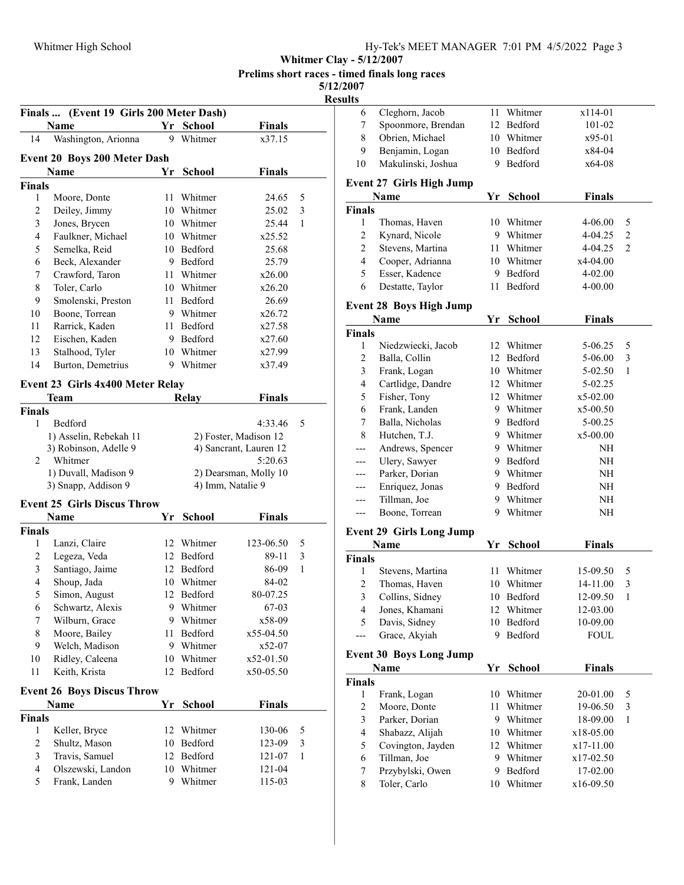Finals ... (Event 19 Girls 200 Meter Dash)

| Hy-Tek's MEET MANAGER 7:01 PM 4/5/2022 Page 3 |  |  |  |  |  |  |
|-----------------------------------------------|--|--|--|--|--|--|
|-----------------------------------------------|--|--|--|--|--|--|

Whitmer Clay - 5/12/2007

Prelims short races - timed finals long races

5/12/2007 Resul

| <b>Name</b>             |                                             | Yr | <b>School</b> | <b>Finals</b>                              |   |
|-------------------------|---------------------------------------------|----|---------------|--------------------------------------------|---|
| 14                      | Washington, Arionna                         | 9  | Whitmer       | x37.15                                     |   |
|                         | <b>Event 20 Boys 200 Meter Dash</b>         |    |               |                                            |   |
|                         | Name                                        | Yr | School        | <b>Finals</b>                              |   |
| <b>Finals</b>           |                                             |    |               |                                            |   |
| 1                       | Moore, Donte                                | 11 | Whitmer       | 24.65                                      | 5 |
| $\overline{c}$          | Deiley, Jimmy                               |    | 10 Whitmer    | 25.02                                      | 3 |
| $\mathfrak{Z}$          | Jones, Brycen                               |    | 10 Whitmer    | 25.44                                      | 1 |
| 4                       | Faulkner, Michael                           |    | 10 Whitmer    | x25.52                                     |   |
| 5                       | Semelka, Reid                               |    | 10 Bedford    | 25.68                                      |   |
| 6                       | Beck, Alexander                             |    | 9 Bedford     | 25.79                                      |   |
| 7                       | Crawford, Taron                             | 11 | Whitmer       | x26.00                                     |   |
| 8                       | Toler, Carlo                                |    | 10 Whitmer    | x26.20                                     |   |
| 9                       | Smolenski, Preston                          | 11 | Bedford       | 26.69                                      |   |
| 10                      | Boone, Torrean                              |    | 9 Whitmer     | x26.72                                     |   |
| 11                      | Rarrick, Kaden                              |    | 11 Bedford    | x27.58                                     |   |
| 12                      | Eischen, Kaden                              |    | 9 Bedford     | x27.60                                     |   |
| 13                      | Stalhood, Tyler                             |    | 10 Whitmer    | x27.99                                     |   |
| 14                      | Burton, Demetrius                           |    | 9 Whitmer     | x37.49                                     |   |
|                         |                                             |    |               |                                            |   |
|                         | Event 23 Girls 4x400 Meter Relay            |    |               |                                            |   |
|                         | Team                                        |    | <b>Relay</b>  | <b>Finals</b>                              |   |
| <b>Finals</b>           |                                             |    |               |                                            |   |
| 1                       | Bedford                                     |    |               | 4:33.46                                    | 5 |
|                         | 1) Asselin, Rebekah 11                      |    |               | 2) Foster, Madison 12                      |   |
|                         | 3) Robinson, Adelle 9<br>Whitmer            |    |               | 4) Sancrant, Lauren 12                     |   |
| 2                       |                                             |    |               | 5:20.63                                    |   |
|                         | 1) Duvall, Madison 9<br>3) Snapp, Addison 9 |    |               | 2) Dearsman, Molly 10<br>4) Imm, Natalie 9 |   |
|                         |                                             |    |               |                                            |   |
|                         | <b>Event 25 Girls Discus Throw</b>          |    |               |                                            |   |
|                         | Name                                        | Yr | <b>School</b> | Finals                                     |   |
| Finals                  |                                             |    |               |                                            |   |
| 1                       | Lanzi, Claire                               |    | 12 Whitmer    | 123-06.50                                  | 5 |
| 2                       | Legeza, Veda                                | 12 | Bedford       | 89-11                                      | 3 |
| 3                       | Santiago, Jaime                             |    | 12 Bedford    | 86-09                                      | 1 |
| 4                       | Shoup, Jada                                 |    | 10 Whitmer    | 84-02                                      |   |
| 5                       | Simon, August                               |    | 12 Bedford    | 80-07.25                                   |   |
| 6                       | Schwartz, Alexis                            |    | 9 Whitmer     | 67-03                                      |   |
| $\boldsymbol{7}$        | Wilburn, Grace                              |    | 9 Whitmer     | x58-09                                     |   |
| 8                       | Moore, Bailey                               | 11 | Bedford       | x55-04.50                                  |   |
| 9                       | Welch, Madison                              | 9  | Whitmer       | x52-07                                     |   |
| 10                      | Ridley, Caleena                             | 10 | Whitmer       | x52-01.50                                  |   |
| 11                      | Keith, Krista                               | 12 | Bedford       | x50-05.50                                  |   |
|                         | <b>Event 26 Boys Discus Throw</b>           |    |               |                                            |   |
|                         | Name                                        | Yr | <b>School</b> | <b>Finals</b>                              |   |
| <b>Finals</b>           |                                             |    |               |                                            |   |
| 1                       | Keller, Bryce                               | 12 | Whitmer       | 130-06                                     | 5 |
| $\overline{c}$          | Shultz, Mason                               | 10 | Bedford       | 123-09                                     | 3 |
| $\mathfrak{Z}$          | Travis, Samuel                              | 12 | Bedford       | 121-07                                     | 1 |
| $\overline{\mathbf{4}}$ | Olszewski, Landon                           | 10 | Whitmer       | 121-04                                     |   |
| 5                       | Frank, Landen                               | 9  | Whitmer       | 115-03                                     |   |
|                         |                                             |    |               |                                            |   |

| sults          |                                 |    |               |               |                |
|----------------|---------------------------------|----|---------------|---------------|----------------|
| 6              | Cleghorn, Jacob                 | 11 | Whitmer       | x114-01       |                |
| 7              | Spoonmore, Brendan              |    | 12 Bedford    | 101-02        |                |
| 8              | Obrien, Michael                 | 10 | Whitmer       | x95-01        |                |
| 9              | Benjamin, Logan                 |    | 10 Bedford    | x84-04        |                |
| 10             | Makulinski, Joshua              | 9  | Bedford       | x64-08        |                |
|                | <b>Event 27 Girls High Jump</b> |    |               |               |                |
|                | Name                            | Yr | School        | <b>Finals</b> |                |
| <b>Finals</b>  |                                 |    |               |               |                |
| 1              | Thomas, Haven                   | 10 | Whitmer       | 4-06.00       | 5              |
| $\mathbf{2}$   | Kynard, Nicole                  |    | 9 Whitmer     | 4-04.25       | 2              |
| $\mathbf{2}$   | Stevens, Martina                |    | 11 Whitmer    | 4-04.25       | $\overline{c}$ |
| 4              | Cooper, Adrianna                |    | 10 Whitmer    | x4-04.00      |                |
| 5              | Esser, Kadence                  |    | 9 Bedford     | 4-02.00       |                |
| 6              | Destatte, Taylor                | 11 | Bedford       | 4-00.00       |                |
|                | <b>Event 28 Boys High Jump</b>  |    |               |               |                |
|                | Name                            | Υr | <b>School</b> | <b>Finals</b> |                |
| <b>Finals</b>  |                                 |    |               |               |                |
| 1              | Niedzwiecki, Jacob              |    | 12 Whitmer    | 5-06.25       | 5              |
| 2              | Balla, Collin                   |    | 12 Bedford    | 5-06.00       | 3              |
| 3              | Frank, Logan                    |    | 10 Whitmer    | 5-02.50       | 1              |
| 4              | Cartlidge, Dandre               |    | 12 Whitmer    | 5-02.25       |                |
| 5              | Fisher, Tony                    |    | 12 Whitmer    | x5-02.00      |                |
| 6              | Frank, Landen                   |    | 9 Whitmer     | $x5-00.50$    |                |
| 7              | Balla, Nicholas                 |    | 9 Bedford     | 5-00.25       |                |
| 8              | Hutchen, T.J.                   |    | 9 Whitmer     | x5-00.00      |                |
| ---            | Andrews, Spencer                |    | 9 Whitmer     | NΗ            |                |
| ---            | Ulery, Sawyer                   |    | 9 Bedford     | NΗ            |                |
| ---            | Parker, Dorian                  |    | 9 Whitmer     | NΗ            |                |
| ---            | Enriquez, Jonas                 |    | 9 Bedford     | NΗ            |                |
| ---            | Tillman, Joe                    |    | 9 Whitmer     | NΗ            |                |
| $---$          | Boone, Torrean                  | 9  | Whitmer       | NΗ            |                |
|                | <b>Event 29 Girls Long Jump</b> |    |               |               |                |
|                | <b>Name</b>                     | Yr | School        | <b>Finals</b> |                |
| <b>Finals</b>  |                                 |    |               |               |                |
| 1              | Stevens, Martina                | 11 | Whitmer       | 15-09.50      | 5              |
| 2              | Thomas, Haven                   | 10 | Whitmer       | 14-11.00      | 3              |
| $\mathfrak{Z}$ | Collins, Sidney                 |    | 10 Bedford    | 12-09.50      | $\mathbf{1}$   |
| 4              | Jones, Khamani                  | 12 | Whitmer       | 12-03.00      |                |
| 5              | Davis, Sidney                   | 10 | Bedford       | 10-09.00      |                |
| ---            | Grace, Akyiah                   | 9  | Bedford       | <b>FOUL</b>   |                |
|                | <b>Event 30 Boys Long Jump</b>  |    |               |               |                |
|                | Name                            | Yr | <b>School</b> | <b>Finals</b> |                |
| <b>Finals</b>  |                                 |    |               |               |                |
| $\mathbf{1}$   | Frank, Logan                    |    | 10 Whitmer    | 20-01.00      | 5              |
| 2              | Moore, Donte                    | 11 | Whitmer       | 19-06.50      | 3              |
| 3              | Parker, Dorian                  | 9. | Whitmer       | 18-09.00      | 1              |
| 4              | Shabazz, Alijah                 |    | 10 Whitmer    | x18-05.00     |                |
| 5              | Covington, Jayden               |    | 12 Whitmer    | x17-11.00     |                |
| 6              | Tillman, Joe                    | 9. | Whitmer       | x17-02.50     |                |
| 7              | Przybylski, Owen                | 9. | Bedford       | 17-02.00      |                |
| 8              | Toler, Carlo                    | 10 | Whitmer       | x16-09.50     |                |
|                |                                 |    |               |               |                |